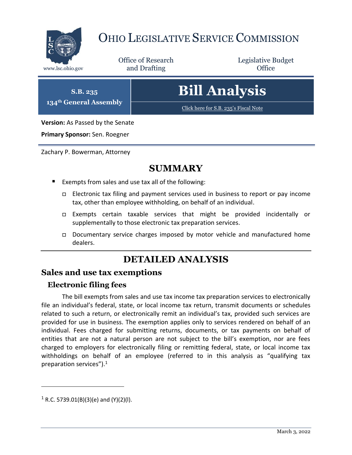

## OHIO LEGISLATIVE SERVICE COMMISSION

Office of Research www.lsc.ohio.gov **and Drafting Office** 

Legislative Budget

**S.B. 235 134th General Assembly**

# **Bill Analysis**

[Click here for S.B. 235](https://www.legislature.ohio.gov/legislation/legislation-documents?id=GA134-SB-235)'s Fiscal Note

**Version:** As Passed by the Senate

**Primary Sponsor:** Sen. Roegner

Zachary P. Bowerman, Attorney

### **SUMMARY**

- Exempts from sales and use tax all of the following:
	- $\Box$  Electronic tax filing and payment services used in business to report or pay income tax, other than employee withholding, on behalf of an individual.
	- Exempts certain taxable services that might be provided incidentally or supplementally to those electronic tax preparation services.
	- Documentary service charges imposed by motor vehicle and manufactured home dealers.

## **DETAILED ANALYSIS**

#### **Sales and use tax exemptions**

#### **Electronic filing fees**

The bill exempts from sales and use tax income tax preparation services to electronically file an individual's federal, state, or local income tax return, transmit documents or schedules related to such a return, or electronically remit an individual's tax, provided such services are provided for use in business. The exemption applies only to services rendered on behalf of an individual. Fees charged for submitting returns, documents, or tax payments on behalf of entities that are not a natural person are not subject to the bill's exemption, nor are fees charged to employers for electronically filing or remitting federal, state, or local income tax withholdings on behalf of an employee (referred to in this analysis as "qualifying tax preparation services"). $1$ 

 $\overline{a}$ 

 $1$  R.C. 5739.01(B)(3)(e) and (Y)(2)(I).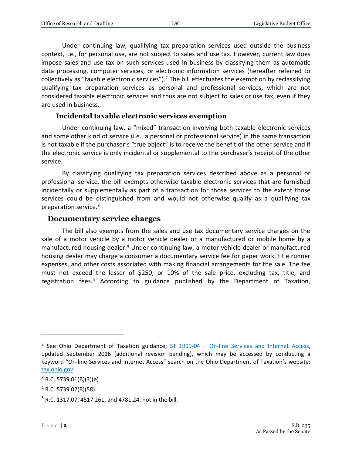Under continuing law, qualifying tax preparation services used outside the business context, i.e., for personal use, are not subject to sales and use tax. However, current law does impose sales and use tax on such services used in business by classifying them as automatic data processing, computer services, or electronic information services (hereafter referred to collectively as "taxable electronic services").<sup>2</sup> The bill effectuates the exemption by reclassifying qualifying tax preparation services as personal and professional services, which are not considered taxable electronic services and thus are not subject to sales or use tax, even if they are used in business.

#### **Incidental taxable electronic services exemption**

Under continuing law, a "mixed" transaction involving both taxable electronic services and some other kind of service (i.e., a personal or professional service) in the same transaction is not taxable if the purchaser's "true object" is to receive the benefit of the other service and if the electronic service is only incidental or supplemental to the purchaser's receipt of the other service.

By classifying qualifying tax preparation services described above as a personal or professional service, the bill exempts otherwise taxable electronic services that are furnished incidentally or supplementally as part of a transaction for those services to the extent those services could be distinguished from and would not otherwise qualify as a qualifying tax preparation service. 3

#### **Documentary service charges**

The bill also exempts from the sales and use tax documentary service charges on the sale of a motor vehicle by a motor vehicle dealer or a manufactured or mobile home by a manufactured housing dealer.<sup>4</sup> Under continuing law, a motor vehicle dealer or manufactured housing dealer may charge a consumer a documentary service fee for paper work, title runner expenses, and other costs associated with making financial arrangements for the sale. The fee must not exceed the lesser of \$250, or 10% of the sale price, excluding tax, title, and registration fees.<sup>5</sup> According to guidance published by the Department of Taxation,

 $\overline{a}$ 

<sup>&</sup>lt;sup>2</sup> See Ohio Department of Taxation guidance, ST 1999-04 – [On-line Services and Internet Access,](https://tax.ohio.gov/business/ohio-business-taxes/sales-and-use/information-releases/index-sales/st199904-archive3) updated September 2016 (additional revision pending), which may be accessed by conducting a keyword "On-line Services and Internet Access" search on the Ohio Department of Taxation's website: [tax.ohio.gov.](https://tax.ohio.gov/)

 $3$  R.C. 5739.01(B)(3)(e).

 $4$  R.C. 5739.02(B)(58).

<sup>5</sup> R.C. 1317.07, 4517.261, and 4781.24, not in the bill.